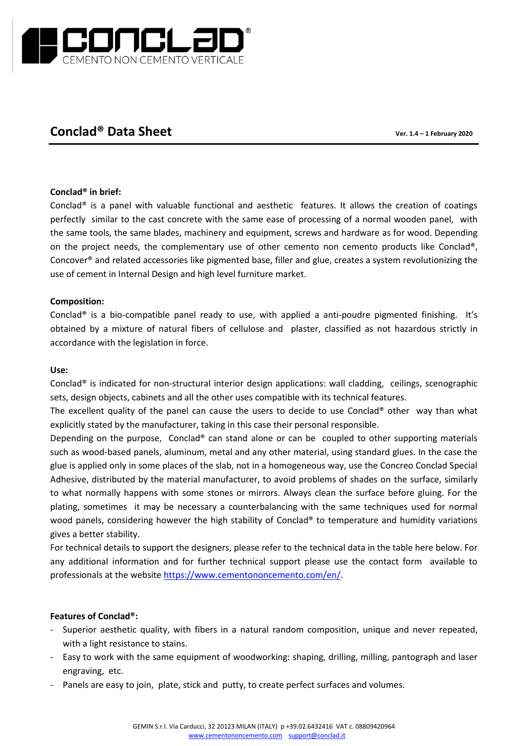

# **Conclad® Data Sheet Ver. 1.4 – 1 February 2020**

## **Conclad® in brief:**

Conclad® is a panel with valuable functional and aesthetic features. It allows the creation of coatings perfectly similar to the cast concrete with the same ease of processing of a normal wooden panel, with the same tools, the same blades, machinery and equipment, screws and hardware as for wood. Depending on the project needs, the complementary use of other cemento non cemento products like Conclad®, Concover® and related accessories like pigmented base, filler and glue, creates a system revolutionizing the use of cement in Internal Design and high level furniture market.

## **Composition:**

Conclad® is a bio-compatible panel ready to use, with applied a anti-poudre pigmented finishing. It's obtained by a mixture of natural fibers of cellulose and plaster, classified as not hazardous strictly in accordance with the legislation in force.

#### **Use:**

Conclad® is indicated for non-structural interior design applications: wall cladding, ceilings, scenographic sets, design objects, cabinets and all the other uses compatible with its technical features.

The excellent quality of the panel can cause the users to decide to use Conclad® other way than what explicitly stated by the manufacturer, taking in this case their personal responsible.

Depending on the purpose, Conclad® can stand alone or can be coupled to other supporting materials such as wood-based panels, aluminum, metal and any other material, using standard glues. In the case the glue is applied only in some places of the slab, not in a homogeneous way, use the Concreo Conclad Special Adhesive, distributed by the material manufacturer, to avoid problems of shades on the surface, similarly to what normally happens with some stones or mirrors. Always clean the surface before gluing. For the plating, sometimes it may be necessary a counterbalancing with the same techniques used for normal wood panels, considering however the high stability of Conclad® to temperature and humidity variations gives a better stability.

For technical details to support the designers, please refer to the technical data in the table here below. For any additional information and for further technical support please use the contact form available to professionals at the website [https://www.cementononcemento.com/en/.](https://www.cementononcemento.com/en/)

## **Features of Conclad®:**

- Superior aesthetic quality, with fibers in a natural random composition, unique and never repeated, with a light resistance to stains.
- Easy to work with the same equipment of woodworking: shaping, drilling, milling, pantograph and laser engraving, etc.
- Panels are easy to join, plate, stick and putty, to create perfect surfaces and volumes.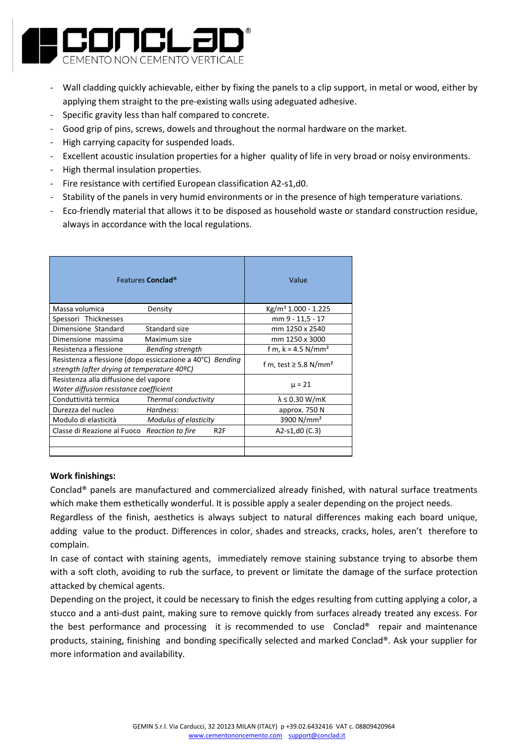

- Wall cladding quickly achievable, either by fixing the panels to a clip support, in metal or wood, either by applying them straight to the pre-existing walls using adeguated adhesive.
- Specific gravity less than half compared to concrete.
- Good grip of pins, screws, dowels and throughout the normal hardware on the market.
- High carrying capacity for suspended loads.
- Excellent acoustic insulation properties for a higher quality of life in very broad or noisy environments.
- High thermal insulation properties.
- Fire resistance with certified European classification A2-s1,d0.
- Stability of the panels in very humid environments or in the presence of high temperature variations.
- Eco-friendly material that allows it to be disposed as household waste or standard construction residue, always in accordance with the local regulations.

| Features Conclad <sup>®</sup>                                                                            |                         | Value                                  |
|----------------------------------------------------------------------------------------------------------|-------------------------|----------------------------------------|
| Massa volumica                                                                                           | Density                 | Kg/m <sup>3</sup> 1.000 - 1.225        |
| Spessori Thicknesses                                                                                     |                         | mm 9 - 11,5 - 17                       |
| Dimensione Standard                                                                                      | Standard size           | mm 1250 x 2540                         |
| Dimensione massima                                                                                       | Maximum size            | mm 1250 x 3000                         |
| Resistenza a flessione                                                                                   | <b>Bending strength</b> | f m, $k = 4.5$ N/mm <sup>2</sup>       |
| Resistenza a flessione (dopo essiccazione a 40°C) Bending<br>strength (after drying at temperature 40ºC) |                         | f m, test $\geq$ 5.8 N/mm <sup>2</sup> |
| Resistenza alla diffusione del vapore<br>Water diffusion resistance coefficient                          |                         | $\mu = 21$                             |
| Conduttività termica                                                                                     | Thermal conductivity    | $\lambda \leq 0.30$ W/mK               |
| Durezza del nucleo                                                                                       | Hardness:               | approx. 750 N                          |
| Modulo di elasticità                                                                                     | Modulus of elasticity   | 3900 N/mm <sup>2</sup>                 |
| Classe di Reazione al Fuoco Reaction to fire                                                             | R <sub>2</sub> F        | A2-s1,d0 $(C.3)$                       |
|                                                                                                          |                         |                                        |
|                                                                                                          |                         |                                        |

## **Work finishings:**

Conclad® panels are manufactured and commercialized already finished, with natural surface treatments which make them esthetically wonderful. It is possible apply a sealer depending on the project needs.

Regardless of the finish, aesthetics is always subject to natural differences making each board unique, adding value to the product. Differences in color, shades and streacks, cracks, holes, aren't therefore to complain.

In case of contact with staining agents, immediately remove staining substance trying to absorbe them with a soft cloth, avoiding to rub the surface, to prevent or limitate the damage of the surface protection attacked by chemical agents.

Depending on the project, it could be necessary to finish the edges resulting from cutting applying a color, a stucco and a anti-dust paint, making sure to remove quickly from surfaces already treated any excess. For the best performance and processing it is recommended to use Conclad® repair and maintenance products, staining, finishing and bonding specifically selected and marked Conclad®. Ask your supplier for more information and availability.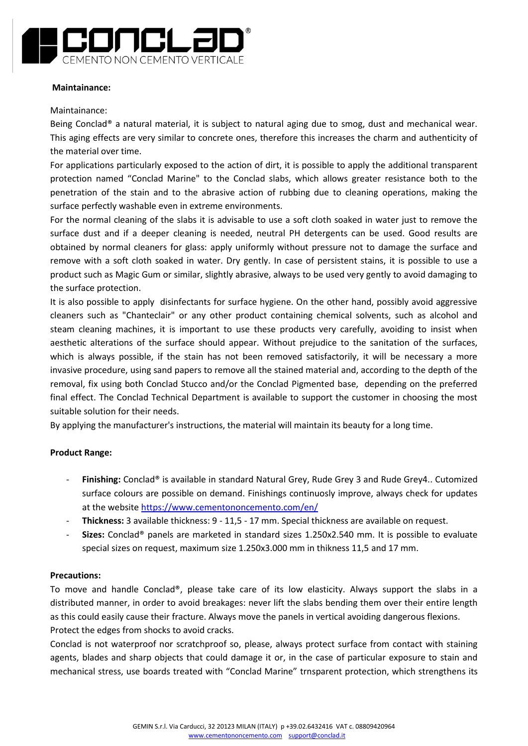

#### **Maintainance:**

#### Maintainance:

Being Conclad® a natural material, it is subject to natural aging due to smog, dust and mechanical wear. This aging effects are very similar to concrete ones, therefore this increases the charm and authenticity of the material over time.

For applications particularly exposed to the action of dirt, it is possible to apply the additional transparent protection named "Conclad Marine" to the Conclad slabs, which allows greater resistance both to the penetration of the stain and to the abrasive action of rubbing due to cleaning operations, making the surface perfectly washable even in extreme environments.

For the normal cleaning of the slabs it is advisable to use a soft cloth soaked in water just to remove the surface dust and if a deeper cleaning is needed, neutral PH detergents can be used. Good results are obtained by normal cleaners for glass: apply uniformly without pressure not to damage the surface and remove with a soft cloth soaked in water. Dry gently. In case of persistent stains, it is possible to use a product such as Magic Gum or similar, slightly abrasive, always to be used very gently to avoid damaging to the surface protection.

It is also possible to apply disinfectants for surface hygiene. On the other hand, possibly avoid aggressive cleaners such as "Chanteclair" or any other product containing chemical solvents, such as alcohol and steam cleaning machines, it is important to use these products very carefully, avoiding to insist when aesthetic alterations of the surface should appear. Without prejudice to the sanitation of the surfaces, which is always possible, if the stain has not been removed satisfactorily, it will be necessary a more invasive procedure, using sand papers to remove all the stained material and, according to the depth of the removal, fix using both Conclad Stucco and/or the Conclad Pigmented base, depending on the preferred final effect. The Conclad Technical Department is available to support the customer in choosing the most suitable solution for their needs.

By applying the manufacturer's instructions, the material will maintain its beauty for a long time.

#### **Product Range:**

- Finishing: Conclad<sup>®</sup> is available in standard Natural Grey, Rude Grey 3 and Rude Grey4.. Cutomized surface colours are possible on demand. Finishings continuosly improve, always check for updates at the website<https://www.cementononcemento.com/en/>
- **Thickness:** 3 available thickness: 9 11,5 17 mm. Special thickness are available on request.
- **Sizes:** Conclad® panels are marketed in standard sizes 1.250x2.540 mm. It is possible to evaluate special sizes on request, maximum size 1.250x3.000 mm in thikness 11,5 and 17 mm.

#### **Precautions:**

To move and handle Conclad®, please take care of its low elasticity. Always support the slabs in a distributed manner, in order to avoid breakages: never lift the slabs bending them over their entire length as this could easily cause their fracture. Always move the panels in vertical avoiding dangerous flexions. Protect the edges from shocks to avoid cracks.

Conclad is not waterproof nor scratchproof so, please, always protect surface from contact with staining agents, blades and sharp objects that could damage it or, in the case of particular exposure to stain and mechanical stress, use boards treated with "Conclad Marine" trnsparent protection, which strengthens its